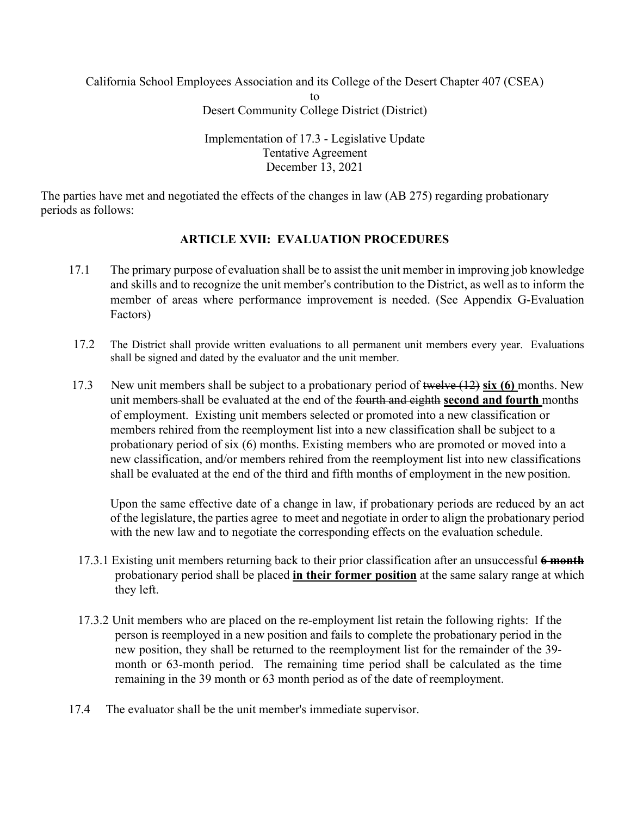California School Employees Association and its College of the Desert Chapter 407 (CSEA)

to

Desert Community College District (District)

Implementation of 17.3 - Legislative Update Tentative Agreement December 13, 2021

The parties have met and negotiated the effects of the changes in law (AB 275) regarding probationary periods as follows:

## **ARTICLE XVII: EVALUATION PROCEDURES**

- 17.1 The primary purpose of evaluation shall be to assist the unit member in improving job knowledge and skills and to recognize the unit member's contribution to the District, as well as to inform the member of areas where performance improvement is needed. (See Appendix G-Evaluation Factors)
- 17.2 The District shall provide written evaluations to all permanent unit members every year. Evaluations shall be signed and dated by the evaluator and the unit member.
- 17.3 New unit members shall be subject to a probationary period of twelve (12) **six (6)** months. New unit members shall be evaluated at the end of the fourth and eighth **second and fourth** months of employment. Existing unit members selected or promoted into a new classification or members rehired from the reemployment list into a new classification shall be subject to a probationary period of six (6) months. Existing members who are promoted or moved into a new classification, and/or members rehired from the reemployment list into new classifications shall be evaluated at the end of the third and fifth months of employment in the new position.

Upon the same effective date of a change in law, if probationary periods are reduced by an act of the legislature, the parties agree to meet and negotiate in order to align the probationary period with the new law and to negotiate the corresponding effects on the evaluation schedule.

- 17.3.1 Existing unit members returning back to their prior classification after an unsuccessful **6 month** probationary period shall be placed **in their former position** at the same salary range at which they left.
- 17.3.2 Unit members who are placed on the re-employment list retain the following rights: If the person is reemployed in a new position and fails to complete the probationary period in the new position, they shall be returned to the reemployment list for the remainder of the 39 month or 63-month period. The remaining time period shall be calculated as the time remaining in the 39 month or 63 month period as of the date of reemployment.
- 17.4 The evaluator shall be the unit member's immediate supervisor.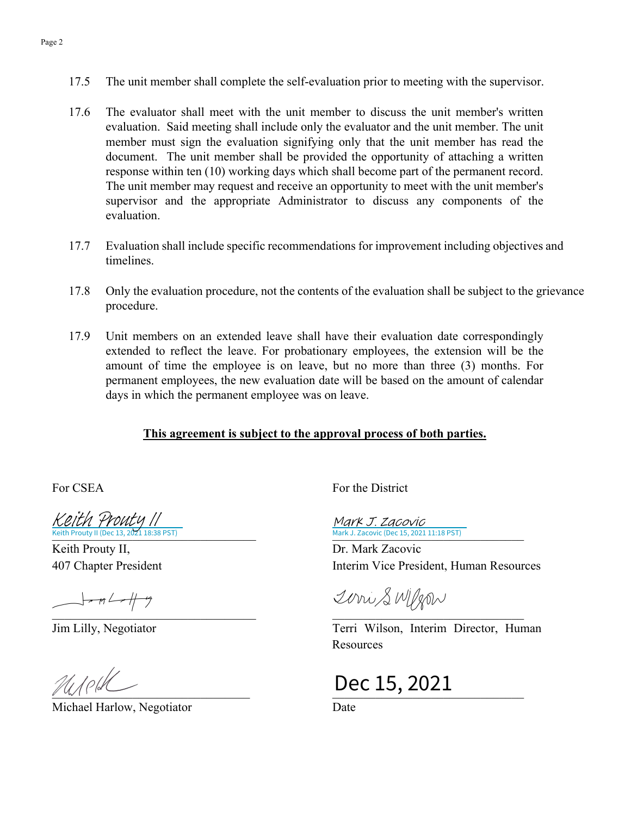- 17.5 The unit member shall complete the self-evaluation prior to meeting with the supervisor.
- 17.6 The evaluator shall meet with the unit member to discuss the unit member's written evaluation. Said meeting shall include only the evaluator and the unit member. The unit member must sign the evaluation signifying only that the unit member has read the document. The unit member shall be provided the opportunity of attaching a written response within ten (10) working days which shall become part of the permanent record. The unit member may request and receive an opportunity to meet with the unit member's supervisor and the appropriate Administrator to discuss any components of the evaluation.
- 17.7 Evaluation shall include specific recommendations for improvement including objectives and timelines.
- 17.8 Only the evaluation procedure, not the contents of the evaluation shall be subject to the grievance procedure.
- 17.9 Unit members on an extended leave shall have their evaluation date correspondingly extended to reflect the leave. For probationary employees, the extension will be the amount of time the employee is on leave, but no more than three (3) months. For permanent employees, the new evaluation date will be based on the amount of calendar days in which the permanent employee was on leave.

## **This agreement is subject to the approval process of both parties.**

Keith Prouty 11<br>[Keith Prouty II](https://na1.documents.adobe.com/verifier?tx=CBJCHBCAABAA5RprVmK7lfIajIlSmChe_WMoNBWs1b_4) (Dec 13, 2021 18:38 PST)

Keith Prouty II, 407 Chapter President

 $\frac{1}{\sqrt{1-\frac{1}{2}}}\frac{1}{\sqrt{1-\frac{1}{2}}}$ 

Michael Harlow, Negotiator **Date** 

For CSEA For the District

Keith Prouty II (Dec 13, 2021 18:38 PST) Mark J. Zacovic (Dec 15, 2021 11:18 PST) Mark J. Zacovic

> Dr. Mark Zacovic Interim Vice President, Human Resources

 $\overline{\phantom{a}}$ 

Jim Lilly, Negotiator Terri Wilson, Interim Director, Human Resources

 $M/$ ell $\angle$  Dec 15, 2021